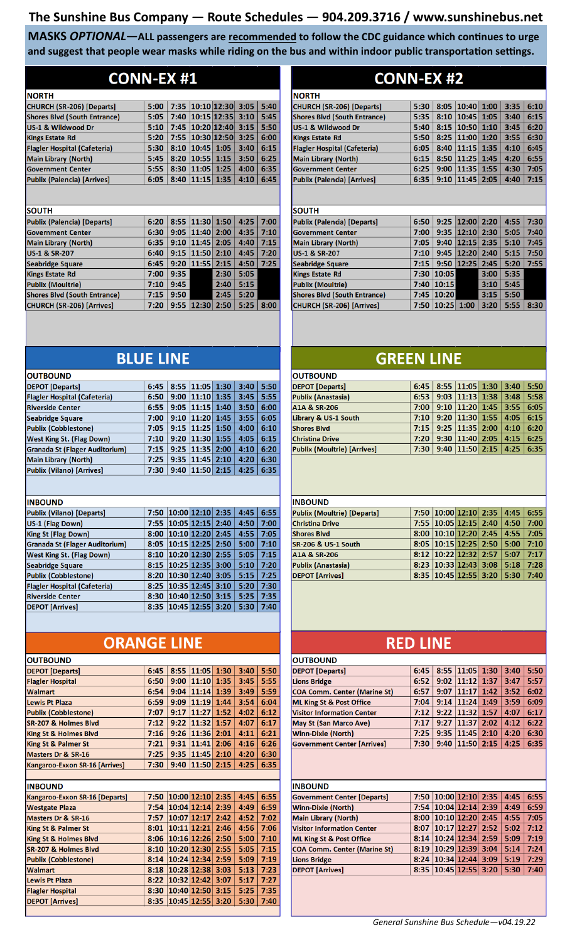## **The Sunshine Bus Company — Route Schedules — 904.209.3716 / www.sunshinebus.net**

**MASKS** *OPTIONAL***—ALL passengers are recommended to follow the CDC guidance which continues to urge and suggest that people wear masks while riding on the bus and within indoor public transportation settings.**

**Publix (Moultrie)** 

**Shores Blvd (South Entrance)** 

CHURCH (SR-206) [Arrives]

| <b>CONN-EX #1</b> |
|-------------------|
|-------------------|

| <b>NORTH</b>                        |      |      |                       |      |      |      |
|-------------------------------------|------|------|-----------------------|------|------|------|
| CHURCH (SR-206) [Departs]           | 5:00 |      | 7:35 10:10 12:30 3:05 |      |      | 5:40 |
| <b>Shores Blvd (South Entrance)</b> | 5:05 | 7:40 | $10:15$ 12:35 3:10    |      |      | 5:45 |
| US-1 & Wildwood Dr                  | 5:10 | 7:45 | 10:20 12:40           |      | 3:15 | 5:50 |
| <b>Kings Estate Rd</b>              | 5:20 | 7:55 | 10:30 12:50           |      | 3:25 | 6:00 |
| <b>Flagler Hospital (Cafeteria)</b> | 5:30 | 8:10 | 10:45                 | 1:05 | 3:40 | 6:15 |
| <b>Main Library (North)</b>         | 5:45 | 8:20 | 10:55                 | 1:15 | 3:50 | 6:25 |
| <b>Government Center</b>            | 5:55 | 8:30 | 11:05                 | 1:25 | 4:00 | 6:35 |
| <b>Publix (Palencia) [Arrives]</b>  | 6:05 | 8:40 | 11:15                 | 1:35 | 4:10 | 6:45 |
|                                     |      |      |                       |      |      |      |
|                                     |      |      |                       |      |      |      |

| <b>SOUTH</b>                        |      |      |       |      |      |      |
|-------------------------------------|------|------|-------|------|------|------|
| Publix (Palencia) [Departs]         | 6:20 | 8:55 | 11:30 | 1:50 | 4:25 | 7:00 |
| <b>Government Center</b>            | 6:30 | 9:05 | 11:40 | 2:00 | 4:35 | 7:10 |
| <b>Main Library (North)</b>         | 6:35 | 9:10 | 11:45 | 2:05 | 4:40 | 7:15 |
| <b>US-1 &amp; SR-207</b>            | 6:40 | 9:15 | 11:50 | 2:10 | 4:45 | 7:20 |
| <b>Seabridge Square</b>             | 6:45 | 9:20 | 11:55 | 2:15 | 4:50 | 7:25 |
| <b>Kings Estate Rd</b>              | 7:00 | 9:35 |       | 2:30 | 5:05 |      |
| <b>Publix (Moultrie)</b>            | 7:10 | 9:45 |       | 2:40 | 5:15 |      |
| <b>Shores Blvd (South Entrance)</b> | 7:15 | 9:50 |       | 2:45 | 5:20 |      |
| <b>CHURCH (SR-206) [Arrives]</b>    | 7:20 | 9:55 | 12:30 | 2:50 | 5:25 | 8:00 |

| <b>BLUE LINE</b>                      |      |      |               |      |      |      |  |  |  |  |  |
|---------------------------------------|------|------|---------------|------|------|------|--|--|--|--|--|
| <b>OUTBOUND</b>                       |      |      |               |      |      |      |  |  |  |  |  |
| <b>DEPOT</b> [Departs]                | 6:45 | 8:55 | 11:05         | 1:30 | 3:40 | 5:50 |  |  |  |  |  |
| <b>Flagler Hospital (Cafeteria)</b>   | 6:50 | 9:00 | 11:10         | 1:35 | 3:45 | 5:55 |  |  |  |  |  |
| <b>Riverside Center</b>               | 6:55 |      | $9:05$  11:15 | 1:40 | 3:50 | 6:00 |  |  |  |  |  |
| <b>Seabridge Square</b>               | 7:00 | 9:10 | 11:20         | 1:45 | 3:55 | 6:05 |  |  |  |  |  |
| <b>Publix (Cobblestone)</b>           | 7:05 | 9:15 | 11:25         | 1:50 | 4:00 | 6:10 |  |  |  |  |  |
| <b>West King St. (Flag Down)</b>      | 7:10 | 9:20 | 11:30         | 1:55 | 4:05 | 6:15 |  |  |  |  |  |
| <b>Granada St (Flager Auditorium)</b> | 7:15 | 9:25 | 11:35         | 2:00 | 4:10 | 6:20 |  |  |  |  |  |
| <b>Main Library (North)</b>           | 7:25 | 9:35 | 11:45         | 2:10 | 4:20 | 6:30 |  |  |  |  |  |
| <b>Publix (Vilano) [Arrives]</b>      | 7:30 | 9:40 | 11:50         | 2:15 | 4:25 | 6:35 |  |  |  |  |  |
| <b>INBOUND</b>                        |      |      |               |      |      |      |  |  |  |  |  |
| <b>Publix (Vilano) [Departs]</b>      | 7:50 |      | 10:00 12:10   | 2:35 | 4:45 | 6:55 |  |  |  |  |  |
| US-1 (Flag Down)                      | 7:55 |      | 10:05 12:15   | 2:40 | 4:50 | 7:00 |  |  |  |  |  |
| <b>King St (Flag Down)</b>            | 8:00 |      | 10:10 12:20   | 2:45 | 4:55 | 7:05 |  |  |  |  |  |
| <b>Granada St (Flager Auditorium)</b> | 8:05 |      | 10:15 12:25   | 2:50 | 5:00 | 7:10 |  |  |  |  |  |
| <b>West King St. (Flag Down)</b>      | 8:10 |      | 10:20 12:30   | 2:55 | 5:05 | 7:15 |  |  |  |  |  |
| <b>Seabridge Square</b>               | 8:15 |      | 10:25 12:35   | 3:00 | 5:10 | 7:20 |  |  |  |  |  |
| <b>Publix (Cobblestone)</b>           | 8:20 |      | 10:30 12:40   | 3:05 | 5:15 | 7:25 |  |  |  |  |  |
| <b>Flagler Hospital (Cafeteria)</b>   | 8:25 |      | 10:35 12:45   | 3:10 | 5:20 | 7:30 |  |  |  |  |  |
| <b>Riverside Center</b>               | 8:30 |      | 10:40 12:50   | 3:15 | 5:25 | 7:35 |  |  |  |  |  |
| <b>DEPOT</b> [Arrives]                | 8:35 |      | 10:45 12:55   | 3:20 | 5:30 | 7:40 |  |  |  |  |  |

| <b>ORANGE LINE</b>               |      |      |                  |      |      |      |
|----------------------------------|------|------|------------------|------|------|------|
| <b>OUTBOUND</b>                  |      |      |                  |      |      |      |
| <b>DEPOT</b> [Departs]           | 6:45 | 8:55 | 11:05            | 1:30 | 3:40 | 5:50 |
| <b>Flagler Hospital</b>          | 6:50 | 9:00 | 11:10            | 1:35 | 3:45 | 5:55 |
| <b>Walmart</b>                   | 6:54 | 9:04 | 11:14            | 1:39 | 3:49 | 5:59 |
| <b>Lewis Pt Plaza</b>            | 6:59 | 9:09 | 11:19            | 1:44 | 3:54 | 6:04 |
| <b>Publix (Cobblestone)</b>      | 7:07 | 9:17 | 11:27            | 1:52 | 4:02 | 6:12 |
| SR-207 & Holmes Blvd             | 7:12 | 9:22 | 11:32            | 1:57 | 4:07 | 6:17 |
| King St & Holmes Blvd            | 7:16 | 9:26 | 11:36            | 2:01 | 4:11 | 6:21 |
| <b>King St &amp; Palmer St</b>   | 7:21 | 9:31 | 11:41            | 2:06 | 4:16 | 6:26 |
| Masters Dr & SR-16               | 7:25 | 9:35 | 11:45            | 2:10 | 4:20 | 6:30 |
| Kangaroo-Exxon SR-16 [Arrives]   | 7:30 | 9:40 | 11:50            | 2:15 | 4:25 | 6:35 |
|                                  |      |      |                  |      |      |      |
| <b>INBOUND</b>                   |      |      |                  |      |      |      |
| Kangaroo-Exxon SR-16 [Departs]   | 7:50 |      | 10:00 12:10 2:35 |      | 4:45 | 6:55 |
| <b>Westgate Plaza</b>            | 7:54 |      | $10:04$ 12:14    | 2:39 | 4:49 | 6:59 |
| Masters Dr & SR-16               | 7:57 |      | 10:07 12:17      | 2:42 | 4:52 | 7:02 |
| King St & Palmer St              | 8:01 |      | 10:11 12:21      | 2:46 | 4:56 | 7:06 |
| <b>King St &amp; Holmes Blvd</b> | 8:06 |      | 10:16 12:26      | 2:50 | 5:00 | 7:10 |
| <b>SR-207 &amp; Holmes Blvd</b>  | 8:10 |      | 10:20 12:30      | 2:55 | 5:05 | 7:15 |
| <b>Publix (Cobblestone)</b>      | 8:14 |      | 10:24 12:34      | 2:59 | 5:09 | 7:19 |
| <b>Walmart</b>                   | 8:18 |      | 10:28 12:38      | 3:03 | 5:13 | 7:23 |
| <b>Lewis Pt Plaza</b>            | 8:22 |      | 10:32 12:42      | 3:07 | 5:17 | 7:27 |
| <b>Flagler Hospital</b>          | 8:30 |      | $10:40$ 12:50    | 3:15 | 5:25 | 7:35 |
| <b>DEPOT</b> [Arrives]           | 8:35 |      | 10:45 12:55      | 3:20 | 5:30 | 7:40 |
|                                  |      |      |                  |      |      |      |

| <b>CONN-EX #2</b>                   |      |       |       |      |      |      |  |  |  |  |
|-------------------------------------|------|-------|-------|------|------|------|--|--|--|--|
| <b>NORTH</b>                        |      |       |       |      |      |      |  |  |  |  |
| CHURCH (SR-206) [Departs]           | 5:30 | 8:05  | 10:40 | 1:00 | 3:35 | 6:10 |  |  |  |  |
| <b>Shores Blvd (South Entrance)</b> | 5:35 | 8:10  | 10:45 | 1:05 | 3:40 | 6:15 |  |  |  |  |
| US-1 & Wildwood Dr                  | 5:40 | 8:15  | 10:50 | 1:10 | 3:45 | 6:20 |  |  |  |  |
| <b>Kings Estate Rd</b>              | 5:50 | 8:25  | 11:00 | 1:20 | 3:55 | 6:30 |  |  |  |  |
| <b>Flagler Hospital (Cafeteria)</b> | 6:05 | 8:40  | 11:15 | 1:35 | 4:10 | 6:45 |  |  |  |  |
| Main Library (North)                | 6:15 | 8:50  | 11:25 | 1:45 | 4:20 | 6:55 |  |  |  |  |
| <b>Government Center</b>            | 6:25 | 9:00  | 11:35 | 1:55 | 4:30 | 7:05 |  |  |  |  |
| Publix (Palencia) [Arrives]         | 6:35 | 9:10  | 11:45 | 2:05 | 4:40 | 7:15 |  |  |  |  |
| <b>SOUTH</b>                        |      |       |       |      |      |      |  |  |  |  |
| Publix (Palencia) [Departs]         | 6:50 | 9:25  | 12:00 | 2:20 | 4:55 | 7:30 |  |  |  |  |
| <b>Government Center</b>            | 7:00 | 9:35  | 12:10 | 2:30 | 5:05 | 7:40 |  |  |  |  |
| Main Library (North)                | 7:05 | 9:40  | 12:15 | 2:35 | 5:10 | 7:45 |  |  |  |  |
| <b>US-1 &amp; SR-207</b>            | 7:10 | 9:45  | 12:20 | 2:40 | 5:15 | 7:50 |  |  |  |  |
| <b>Seabridge Square</b>             | 7:15 | 9:50  | 12:25 | 2:45 | 5:20 | 7:55 |  |  |  |  |
| <b>Kings Estate Rd</b>              | 7:30 | 10:05 |       | 3:00 | 5:35 |      |  |  |  |  |

7:40 10:15

7:45  $|10:20|$ 

 $\begin{array}{|c|c|c|}\n\hline\n3:10 & 5:45 \\
\hline\n3:15 & 5:50 \\
\hline\n\end{array}$ 

7:50 10:25 1:00 3:20 5:55 8:30

| <b>GREEN LINE</b>                  |      |      |                      |      |      |      |  |  |  |  |  |
|------------------------------------|------|------|----------------------|------|------|------|--|--|--|--|--|
| <b>OUTBOUND</b>                    |      |      |                      |      |      |      |  |  |  |  |  |
| <b>DEPOT</b> [Departs]             | 6:45 |      | $8:55$ 11:05 1:30    |      | 3:40 | 5:50 |  |  |  |  |  |
| <b>Publix (Anastasia)</b>          | 6:53 | 9:03 | 11:13                | 1:38 | 3:48 | 5:58 |  |  |  |  |  |
| A1A & SR-206                       | 7:00 | 9:10 | 11:20                | 1:45 | 3:55 | 6:05 |  |  |  |  |  |
| Library & US-1 South               | 7:10 | 9:20 | 11:30                | 1:55 | 4:05 | 6:15 |  |  |  |  |  |
| <b>Shores Blvd</b>                 | 7:15 |      | $9:25$  11:35   2:00 |      | 4:10 | 6:20 |  |  |  |  |  |
| <b>Christina Drive</b>             | 7:20 | 9:30 | 11:40                | 2:05 | 4:15 | 6:25 |  |  |  |  |  |
| <b>Publix (Moultrie) [Arrives]</b> | 7:30 | 9:40 | 11:50 2:15           |      | 4:25 | 6:35 |  |  |  |  |  |

| <b>INBOUND</b><br>7:50 10:00 12:10 2:35<br>6:55<br>4:45                 |
|-------------------------------------------------------------------------|
| Publix (Moultrie) [Departs]                                             |
|                                                                         |
| 7:00<br>7:55   10:05   12:15   2:40<br>4:50<br><b>Christina Drive</b>   |
| 10:10 12:20 2:45<br>7:05<br>4:55<br><b>Shores Blvd</b><br>8:00          |
| 8:05 10:15 12:25 2:50<br>7:10<br>5:00<br><b>SR-206 &amp; US-1 South</b> |
| 7:17<br>8:12 10:22 12:32 2:57<br>A1A & SR-206<br>5:07                   |
| 7:28<br> 10:33 12:43 3:08<br>5:18<br><b>Publix (Anastasia)</b><br>8:23  |
| 8:35   10:45   12:55   3:20<br><b>DEPOT</b> [Arrives]<br>7:40<br>5:30   |

| <b>RED LINE</b>                     |      |      |                |      |      |      |  |  |  |  |  |
|-------------------------------------|------|------|----------------|------|------|------|--|--|--|--|--|
| <b>OUTBOUND</b>                     |      |      |                |      |      |      |  |  |  |  |  |
| <b>DEPOT [Departs]</b>              | 6:45 | 8:55 | 11:05          | 1:30 | 3:40 | 5:50 |  |  |  |  |  |
| <b>Lions Bridge</b>                 | 6:52 | 9:02 | 11:12          | 1:37 | 3:47 | 5:57 |  |  |  |  |  |
| <b>COA Comm. Center (Marine St)</b> | 6:57 | 9:07 | 11:17          | 1:42 | 3:52 | 6:02 |  |  |  |  |  |
| <b>ML King St &amp; Post Office</b> | 7:04 | 9:14 | 11:24          | 1:49 | 3:59 | 6:09 |  |  |  |  |  |
| <b>Visitor Information Center</b>   | 7:12 | 9:22 | 11:32          | 1:57 | 4:07 | 6:17 |  |  |  |  |  |
| <b>May St (San Marco Ave)</b>       | 7:17 | 9:27 | 11:37          | 2:02 | 4:12 | 6:22 |  |  |  |  |  |
| <b>Winn-Dixie (North)</b>           | 7:25 | 9:35 | 11:45          | 2:10 | 4:20 | 6:30 |  |  |  |  |  |
| <b>Government Center [Arrives]</b>  | 7:30 | 9:40 | 11:50          | 2:15 | 4:25 | 6:35 |  |  |  |  |  |
|                                     |      |      |                |      |      |      |  |  |  |  |  |
|                                     |      |      |                |      |      |      |  |  |  |  |  |
|                                     |      |      |                |      |      |      |  |  |  |  |  |
| <b>INBOUND</b>                      |      |      |                |      |      |      |  |  |  |  |  |
| <b>Government Center [Departs]</b>  | 7:50 |      | 10:00 12:10    | 2:35 | 4:45 | 6:55 |  |  |  |  |  |
| <b>Winn-Dixie (North)</b>           | 7:54 |      | 10:04 12:14    | 2:39 | 4:49 | 6:59 |  |  |  |  |  |
| <b>Main Library (North)</b>         | 8:00 |      | 10:10 12:20    | 2:45 | 4:55 | 7:05 |  |  |  |  |  |
| <b>Visitor Information Center</b>   | 8:07 |      | $10:17$  12:27 | 2:52 | 5:02 | 7:12 |  |  |  |  |  |
| <b>ML King St &amp; Post Office</b> | 8:14 |      | 10:24 12:34    | 2:59 | 5:09 | 7:19 |  |  |  |  |  |
| <b>COA Comm. Center (Marine St)</b> | 8:19 |      | 10:29 12:39    | 3:04 | 5:14 | 7:24 |  |  |  |  |  |
| <b>Lions Bridge</b>                 | 8:24 |      | 10:34 12:44    | 3:09 | 5:19 | 7:29 |  |  |  |  |  |
| <b>DEPOT</b> [Arrives]              | 8:35 |      | 10:45 12:55    | 3:20 | 5:30 | 7:40 |  |  |  |  |  |